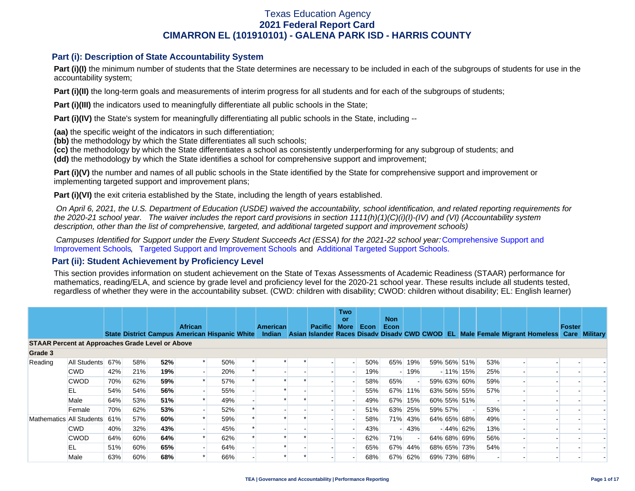### **Part (i): Description of State Accountability System**

Part (i)(I) the minimum number of students that the State determines are necessary to be included in each of the subgroups of students for use in the accountability system;

**Part (i)(II)** the long-term goals and measurements of interim progress for all students and for each of the subgroups of students;

**Part (i)(III)** the indicators used to meaningfully differentiate all public schools in the State;

**Part (i)(IV)** the State's system for meaningfully differentiating all public schools in the State, including --

**(aa)** the specific weight of the indicators in such differentiation;

**(bb)** the methodology by which the State differentiates all such schools;

**(cc)** the methodology by which the State differentiates a school as consistently underperforming for any subgroup of students; and

**(dd)** the methodology by which the State identifies a school for comprehensive support and improvement;

**Part (i)(V)** the number and names of all public schools in the State identified by the State for comprehensive support and improvement or implementing targeted support and improvement plans;

**Part (i)(VI)** the exit criteria established by the State, including the length of years established.

 *On April 6, 2021, the U.S. Department of Education (USDE) waived the accountability, school identification, and related reporting requirements for the 2020-21 school year. The waiver includes the report card provisions in section 1111(h)(1)(C)(i)(I)-(IV) and (VI) (Accountability system description, other than the list of comprehensive, targeted, and additional targeted support and improvement schools)* 

*Campuses Identified for Support under the Every Student Succeeds Act (ESSA) for the 2021-22 school year:* [Comprehensive Support and](https://tea.texas.gov/sites/default/files/comprehensive_support_2021.xlsx) [Improvement Schools](https://tea.texas.gov/sites/default/files/comprehensive_support_2021.xlsx), [Targeted Support and Improvement Schools](https://tea.texas.gov/sites/default/files/targeted_support_2021.xlsx) and [Additional Targeted Support Schools.](https://tea.texas.gov/sites/default/files/additional_targeted_support_2021.xlsx)

### **Part (ii): Student Achievement by Proficiency Level**

This section provides information on student achievement on the State of Texas Assessments of Academic Readiness (STAAR) performance for mathematics, reading/ELA, and science by grade level and proficiency level for the 2020-21 school year. These results include all students tested, regardless of whether they were in the accountability subset. (CWD: children with disability; CWOD: children without disability; EL: English learner)

|                                                         |              |     |     |     | <b>African</b> |                                               | <b>American</b> | <b>Pacific</b> | <b>Two</b><br>or<br><b>More</b> | Econ | <b>Non</b><br>Econ |         |         |             |     |                                                                                           | Foster |  |
|---------------------------------------------------------|--------------|-----|-----|-----|----------------|-----------------------------------------------|-----------------|----------------|---------------------------------|------|--------------------|---------|---------|-------------|-----|-------------------------------------------------------------------------------------------|--------|--|
|                                                         |              |     |     |     |                | State District Campus American Hispanic White | Indian          |                |                                 |      |                    |         |         |             |     | Asian Islander Races Disady Disady CWD CWOD EL Male Female Migrant Homeless Care Military |        |  |
| <b>STAAR Percent at Approaches Grade Level or Above</b> |              |     |     |     |                |                                               |                 |                |                                 |      |                    |         |         |             |     |                                                                                           |        |  |
| Grade 3                                                 |              |     |     |     |                |                                               |                 |                |                                 |      |                    |         |         |             |     |                                                                                           |        |  |
| Reading                                                 | All Students | 67% | 58% | 52% |                | 50%                                           |                 |                |                                 | 50%  |                    | 65% 19% |         | 59% 56% 51% | 53% |                                                                                           |        |  |
|                                                         | <b>CWD</b>   | 42% | 21% | 19% |                | 20%                                           |                 |                |                                 | 19%  |                    | $-19%$  |         | $-11\%$ 15% | 25% |                                                                                           |        |  |
|                                                         | <b>CWOD</b>  | 70% | 62% | 59% |                | 57%                                           |                 |                |                                 | 58%  | 65%                |         |         | 59% 63% 60% | 59% |                                                                                           |        |  |
|                                                         | EL           | 54% | 54% | 56% |                | 55%                                           |                 |                |                                 | 55%  |                    | 67% 11% |         | 63% 56% 55% | 57% |                                                                                           |        |  |
|                                                         | Male         | 64% | 53% | 51% |                | 49%                                           |                 |                |                                 | 49%  |                    | 67% 15% |         | 60% 55% 51% |     |                                                                                           |        |  |
|                                                         | Female       | 70% | 62% | 53% |                | 52%                                           |                 |                |                                 | 51%  |                    | 63% 25% | 59% 57% |             | 53% |                                                                                           |        |  |
| Mathematics All Students                                |              | 61% | 57% | 60% |                | 59%                                           |                 |                |                                 | 58%  |                    | 71% 43% |         | 64% 65% 68% | 49% |                                                                                           |        |  |
|                                                         | <b>CWD</b>   | 40% | 32% | 43% |                | 45%                                           |                 |                |                                 | 43%  |                    | $-43%$  |         | $-44\%$ 62% | 13% |                                                                                           |        |  |
|                                                         | <b>CWOD</b>  | 64% | 60% | 64% |                | 62%                                           |                 |                |                                 | 62%  | 71%                |         |         | 64% 68% 69% | 56% |                                                                                           |        |  |
|                                                         | EL           | 51% | 60% | 65% |                | 64%                                           |                 |                |                                 | 65%  |                    | 67% 44% |         | 68% 65% 73% | 54% |                                                                                           |        |  |
|                                                         | Male         | 63% | 60% | 68% |                | 66%                                           |                 |                |                                 | 68%  | 67%                | 62%     |         | 69% 73% 68% |     |                                                                                           |        |  |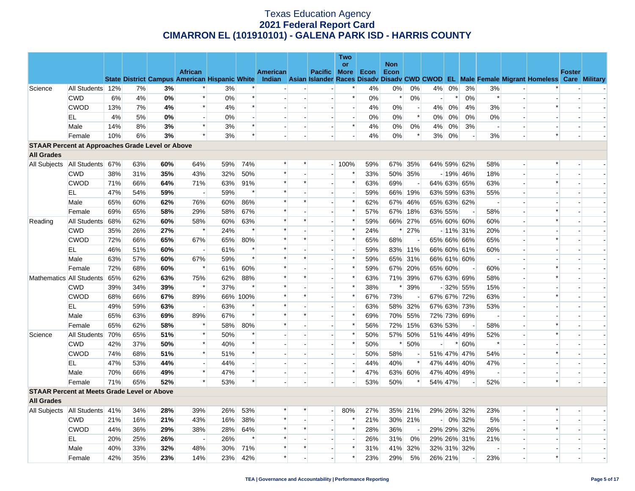|                                                         |                                   |     |     |     |                                                      |     |          |          |                          |                          | <b>Two</b>               |      |                    |                          |         |        |             |                          |                          |                                                                                                  |               |                          |
|---------------------------------------------------------|-----------------------------------|-----|-----|-----|------------------------------------------------------|-----|----------|----------|--------------------------|--------------------------|--------------------------|------|--------------------|--------------------------|---------|--------|-------------|--------------------------|--------------------------|--------------------------------------------------------------------------------------------------|---------------|--------------------------|
|                                                         |                                   |     |     |     | <b>African</b>                                       |     |          | American |                          | Pacific More             | or                       | Econ | <b>Non</b><br>Econ |                          |         |        |             |                          |                          |                                                                                                  | <b>Foster</b> |                          |
|                                                         |                                   |     |     |     | <b>State District Campus American Hispanic White</b> |     |          |          |                          |                          |                          |      |                    |                          |         |        |             |                          |                          | Indian Asian Islander Races Disadv Disadv CWD CWOD EL Male Female Migrant Homeless Care Military |               |                          |
| Science                                                 | All Students 12%                  |     | 7%  | 3%  | $\ast$                                               | 3%  |          |          |                          |                          | $\ast$                   | 4%   | 0%                 | 0%                       | 4%      | $0\%$  | 3%          | 3%                       |                          |                                                                                                  |               |                          |
|                                                         | <b>CWD</b>                        | 6%  | 4%  | 0%  | $\ast$                                               | 0%  | $\ast$   |          |                          | $\overline{a}$           | $\ast$                   | 0%   | $\ast$             | 0%                       | $\sim$  | $\ast$ | 0%          | $\ast$                   | $\overline{a}$           |                                                                                                  |               |                          |
|                                                         | <b>CWOD</b>                       | 13% | 7%  | 4%  | $\ast$                                               | 4%  | $\ast$   |          |                          | $\sim$                   | $\blacksquare$           | 4%   | 0%                 | $\overline{\phantom{a}}$ | 4%      | 0%     | 4%          | 3%                       | $\overline{\phantom{a}}$ | $\ast$                                                                                           |               |                          |
|                                                         | EL                                | 4%  | 5%  | 0%  | $\sim$                                               | 0%  |          |          | $\overline{a}$           | $\overline{a}$           | $\overline{\phantom{a}}$ | 0%   | 0%                 | $\ast$                   | $0\%$   | 0%     | 0%          | 0%                       |                          |                                                                                                  |               |                          |
|                                                         | Male                              | 14% | 8%  | 3%  | $\ast$                                               | 3%  | $\ast$   |          | $\overline{\phantom{a}}$ | $\sim$                   | $\ast$                   | 4%   | 0%                 | 0%                       | $4\%$   | 0%     | 3%          | $\overline{\phantom{a}}$ |                          |                                                                                                  |               |                          |
|                                                         | Female                            | 10% | 6%  | 3%  | $\ast$                                               | 3%  | $\ast$   |          |                          |                          | $\overline{a}$           | 4%   | 0%                 | $\ast$                   | 3%      | 0%     |             | 3%                       | $\overline{\phantom{a}}$ | $\ast$                                                                                           |               |                          |
| <b>STAAR Percent at Approaches Grade Level or Above</b> |                                   |     |     |     |                                                      |     |          |          |                          |                          |                          |      |                    |                          |         |        |             |                          |                          |                                                                                                  |               |                          |
| <b>All Grades</b>                                       |                                   |     |     |     |                                                      |     |          |          |                          |                          |                          |      |                    |                          |         |        |             |                          |                          |                                                                                                  |               |                          |
| All Subjects                                            | All Students 67%                  |     | 63% | 60% | 64%                                                  | 59% | 74%      | $\ast$   | $\ast$                   |                          | $-100%$                  | 59%  | 67%                | 35%                      |         |        | 64% 59% 62% | 58%                      |                          | $\ast$                                                                                           |               |                          |
|                                                         | <b>CWD</b>                        | 38% | 31% | 35% | 43%                                                  | 32% | 50%      | $\ast$   |                          |                          | $\ast$                   | 33%  |                    | 50% 35%                  |         |        | $-19\%$ 46% | 18%                      | $\overline{\phantom{a}}$ |                                                                                                  |               |                          |
|                                                         | <b>CWOD</b>                       | 71% | 66% | 64% | 71%                                                  | 63% | 91%      | $\ast$   | $\ast$                   | $\sim$                   | $\ast$                   | 63%  | 69%                | $\sim$                   |         |        | 64% 63% 65% | 63%                      |                          | $\ast$                                                                                           |               |                          |
|                                                         | EL                                | 47% | 54% | 59% | $\sim$                                               | 59% | $\ast$   |          |                          | $\sim$                   | $\blacksquare$           | 59%  | 66%                | 19%                      |         |        | 63% 59% 63% | 55%                      |                          |                                                                                                  |               |                          |
|                                                         | Male                              | 65% | 60% | 62% | 76%                                                  | 60% | 86%      | $\ast$   | $\ast$                   | $\overline{a}$           | $\ast$                   | 62%  |                    | 67% 46%                  |         |        | 65% 63% 62% | $\overline{a}$           |                          |                                                                                                  |               | $\overline{\phantom{a}}$ |
|                                                         | Female                            | 69% | 65% | 58% | 29%                                                  | 58% | 67%      | $\ast$   |                          |                          | $\ast$                   | 57%  | 67%                | 18%                      | 63% 55% |        |             | 58%                      |                          |                                                                                                  |               |                          |
| Reading                                                 | All Students                      | 68% | 62% | 60% | 58%                                                  | 60% | 63%      | $\ast$   | $\ast$                   | $\blacksquare$           | $\ast$                   | 59%  |                    | 66% 27%                  |         |        | 65% 60% 60% | 60%                      |                          |                                                                                                  |               |                          |
|                                                         | <b>CWD</b>                        | 35% | 26% | 27% | $\ast$                                               | 24% | $\ast$   | $\ast$   |                          |                          | $\ast$                   | 24%  | $\ast$             | 27%                      |         |        | $-11\%$ 31% | 20%                      |                          |                                                                                                  |               |                          |
|                                                         | <b>CWOD</b>                       | 72% | 66% | 65% | 67%                                                  | 65% | 80%      |          | *                        | $\blacksquare$           | $\ast$                   | 65%  | 68%                |                          |         |        | 65% 66% 66% | 65%                      | $\overline{a}$           | $\ast$                                                                                           |               |                          |
|                                                         | EL                                | 46% | 51% | 60% | $\sim$                                               | 61% |          | $\ast$   |                          | $\overline{a}$           | $\overline{a}$           | 59%  |                    | 83% 11%                  |         |        | 66% 60% 61% | 60%                      | $\sim$                   |                                                                                                  |               |                          |
|                                                         | Male                              | 63% | 57% | 60% | 67%                                                  | 59% | $\ast$   | $\ast$   | $\ast$                   | $\sim$                   | $\ast$                   | 59%  |                    | 65% 31%                  |         |        | 66% 61% 60% | $\sim$                   |                          |                                                                                                  |               |                          |
|                                                         | Female                            | 72% | 68% | 60% | $\ast$                                               | 61% | 60%      | $\ast$   | $\sim$                   | $\overline{a}$           | $\ast$                   | 59%  |                    | 67% 20%                  | 65% 60% |        |             | 60%                      | $\overline{a}$           | $\ast$                                                                                           |               | $\overline{\phantom{a}}$ |
|                                                         | Mathematics All Students          | 65% | 62% | 63% | 75%                                                  | 62% | 88%      | $\ast$   | $\ast$                   | $\overline{\phantom{a}}$ | $\ast$                   | 63%  |                    | 71% 39%                  |         |        | 67% 63% 69% | 58%                      |                          | $\ast$                                                                                           |               |                          |
|                                                         | <b>CWD</b>                        | 39% | 34% | 39% | $\ast$                                               | 37% | $\ast$   | $\ast$   |                          | $\overline{a}$           | $\ast$                   | 38%  | ∗                  | 39%                      |         |        | $-32\%$ 55% | 15%                      |                          |                                                                                                  |               |                          |
|                                                         | <b>CWOD</b>                       | 68% | 66% | 67% | 89%                                                  |     | 66% 100% |          | $\ast$                   |                          | $\ast$                   | 67%  | 73%                |                          |         |        | 67% 67% 72% | 63%                      | $\overline{a}$           |                                                                                                  |               |                          |
|                                                         | EL                                | 49% | 59% | 63% | $\overline{\phantom{a}}$                             | 63% |          |          |                          | $\overline{\phantom{a}}$ | $\overline{\phantom{a}}$ | 63%  | 58%                | 32%                      |         |        | 67% 63% 73% | 53%                      |                          |                                                                                                  |               |                          |
|                                                         | Male                              | 65% | 63% | 69% | 89%                                                  | 67% | $\ast$   | $\ast$   | $\ast$                   | $\overline{a}$           | $\ast$                   | 69%  |                    | 70% 55%                  |         |        | 72% 73% 69% | $\overline{\phantom{a}}$ |                          |                                                                                                  |               |                          |
|                                                         | Female                            | 65% | 62% | 58% | $\ast$                                               | 58% | 80%      | $\ast$   |                          | $\sim$                   | $\ast$                   | 56%  | 72%                | 15%                      | 63% 53% |        |             | 58%                      |                          |                                                                                                  |               |                          |
| Science                                                 | All Students                      | 70% | 65% | 51% | $\ast$                                               | 50% | $\ast$   |          | $\sim$                   | $\overline{a}$           | $\ast$                   | 50%  |                    | 57% 50%                  |         |        | 51% 44% 49% | 52%                      |                          | $\ast$                                                                                           |               | $\overline{\phantom{a}}$ |
|                                                         | <b>CWD</b>                        | 42% | 37% | 50% | $\ast$                                               | 40% |          |          |                          | $\overline{a}$           | $\ast$                   | 50%  | $\ast$             | 50%                      |         |        | $* 60%$     | $\ast$                   |                          |                                                                                                  |               |                          |
|                                                         | <b>CWOD</b>                       | 74% | 68% | 51% | $\ast$                                               | 51% | $\ast$   |          | $\overline{a}$           | $\overline{a}$           | $\overline{a}$           | 50%  | 58%                | $\overline{\phantom{a}}$ |         |        | 51% 47% 47% | 54%                      | $\overline{a}$           | $\ast$                                                                                           |               |                          |
|                                                         | EL                                | 47% | 53% | 44% |                                                      | 44% |          |          |                          |                          | $\sim$                   | 44%  | 40%                | $\ast$                   |         |        | 47% 44% 40% | 47%                      |                          |                                                                                                  |               |                          |
|                                                         | Male                              | 70% | 66% | 49% | $\ast$                                               | 47% |          |          | $\overline{\phantom{a}}$ | $\blacksquare$           | $\ast$                   | 47%  |                    | 63% 60%                  |         |        | 47% 40% 49% | $\overline{\phantom{a}}$ | $\overline{a}$           |                                                                                                  |               |                          |
|                                                         | Female                            | 71% | 65% | 52% | $\ast$                                               | 53% | $\ast$   |          |                          | $\overline{\phantom{a}}$ | $\blacksquare$           | 53%  | 50%                |                          | 54% 47% |        |             | 52%                      | $\overline{\phantom{a}}$ | $\ast$                                                                                           |               |                          |
| <b>STAAR Percent at Meets Grade Level or Above</b>      |                                   |     |     |     |                                                      |     |          |          |                          |                          |                          |      |                    |                          |         |        |             |                          |                          |                                                                                                  |               |                          |
| <b>All Grades</b>                                       |                                   |     |     |     |                                                      |     |          |          |                          |                          |                          |      |                    |                          |         |        |             |                          |                          |                                                                                                  |               |                          |
|                                                         | All Subjects   All Students   41% |     | 34% | 28% | 39%                                                  | 26% | 53%      |          | *                        | $\overline{a}$           | 80%                      | 27%  |                    | 35% 21%                  |         |        | 29% 26% 32% | 23%                      | $\overline{a}$           |                                                                                                  |               |                          |
|                                                         | <b>CWD</b>                        | 21% | 16% | 21% | 43%                                                  | 16% | 38%      | $\ast$   | $\overline{a}$           | $\sim$                   | $\ast$                   | 21%  |                    | 30% 21%                  |         |        | $-0\%$ 32%  | 5%                       |                          |                                                                                                  |               |                          |
|                                                         | <b>CWOD</b>                       | 44% | 36% | 29% | 38%                                                  | 28% | 64%      | $\ast$   | $\ast$                   |                          | $\ast$                   | 28%  | 36%                |                          |         |        | 29% 29% 32% | 26%                      |                          | $\ast$                                                                                           |               |                          |
|                                                         | EL                                | 20% | 25% | 26% | $\overline{a}$                                       | 26% | $\ast$   | $\ast$   | $\overline{\phantom{a}}$ | $\sim$                   | $\blacksquare$           | 26%  | 31%                | 0%                       |         |        | 29% 26% 31% | 21%                      | $\overline{\phantom{a}}$ |                                                                                                  |               |                          |
|                                                         | Male                              | 40% | 33% | 32% | 48%                                                  | 30% | 71%      | $\ast$   | $\ast$                   | $\sim$                   | $\ast$                   | 31%  | 41%                | 32%                      |         |        | 32% 31% 32% | $\sim$                   |                          |                                                                                                  |               |                          |
|                                                         | Female                            | 42% | 35% | 23% | 14%                                                  | 23% | 42%      |          |                          |                          | $\ast$                   | 23%  | 29%                | 5%                       | 26% 21% |        |             | 23%                      |                          |                                                                                                  |               |                          |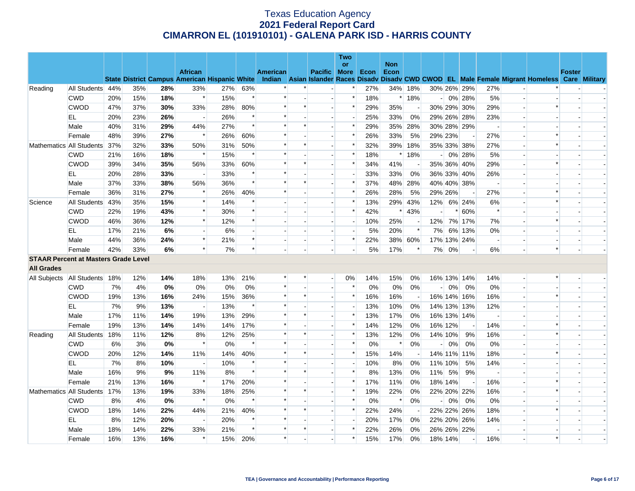|                   |                                             |     |     |     |                                                      |       |        |                 |         |                          | <b>Two</b><br><b>or</b> |      | <b>Non</b> |                          |                          |         |                          |                          |                          |                                                                                                  |               |  |
|-------------------|---------------------------------------------|-----|-----|-----|------------------------------------------------------|-------|--------|-----------------|---------|--------------------------|-------------------------|------|------------|--------------------------|--------------------------|---------|--------------------------|--------------------------|--------------------------|--------------------------------------------------------------------------------------------------|---------------|--|
|                   |                                             |     |     |     | <b>African</b>                                       |       |        | <b>American</b> |         | Pacific More             |                         | Econ | Econ       |                          |                          |         |                          |                          |                          |                                                                                                  | <b>Foster</b> |  |
|                   |                                             |     |     |     | <b>State District Campus American Hispanic White</b> |       |        |                 |         |                          |                         |      |            |                          |                          |         |                          |                          |                          | Indian Asian Islander Races Disady Disady CWD CWOD EL Male Female Migrant Homeless Care Military |               |  |
| Reading           | All Students 44%                            |     | 35% | 28% | 33%                                                  | 27%   | 63%    |                 |         |                          |                         | 27%  |            | 34% 18%                  |                          |         | 30% 26% 29%              | 27%                      |                          |                                                                                                  |               |  |
|                   | <b>CWD</b>                                  | 20% | 15% | 18% | $\ast$                                               | 15%   | $\ast$ | $\ast$          |         | $\overline{a}$           | $\ast$                  | 18%  |            | $*18%$                   |                          |         | $-0\%$ 28%               | 5%                       | $\overline{\phantom{a}}$ |                                                                                                  |               |  |
|                   | <b>CWOD</b>                                 | 47% | 37% | 30% | 33%                                                  | 28%   | 80%    | $\ast$          | $\ast$  |                          | $\ast$                  | 29%  | 35%        | $\overline{\phantom{a}}$ |                          |         | 30% 29% 30%              | 29%                      | $\overline{\phantom{a}}$ | $\ast$                                                                                           |               |  |
|                   | EL                                          | 20% | 23% | 26% |                                                      | 26%   | $\ast$ | $\ast$          |         |                          | $\overline{a}$          | 25%  | 33%        | 0%                       |                          |         | 29% 26% 28%              | 23%                      | $\overline{a}$           |                                                                                                  |               |  |
|                   | Male                                        | 40% | 31% | 29% | 44%                                                  | 27%   | $\ast$ | $\ast$          |         |                          | $\ast$                  | 29%  | 35%        | 28%                      |                          |         | 30% 28% 29%              |                          |                          |                                                                                                  |               |  |
|                   | Female                                      | 48% | 39% | 27% | $\ast$                                               | 26%   | 60%    | $\ast$          |         |                          | $\ast$                  | 26%  | 33%        | 5%                       |                          | 29% 23% |                          | 27%                      |                          |                                                                                                  |               |  |
|                   | Mathematics All Students                    | 37% | 32% | 33% | 50%                                                  | 31%   | 50%    | $\ast$          | $\ast$  | $\overline{a}$           | $\ast$                  | 32%  | 39%        | 18%                      |                          |         | 35% 33% 38%              | 27%                      | $\sim$                   | $\ast$                                                                                           |               |  |
|                   | <b>CWD</b>                                  | 21% | 16% | 18% | $\ast$                                               | 15%   | $\ast$ | $\ast$          |         |                          | $\ast$                  | 18%  | $\ast$     | 18%                      | $\overline{a}$           |         | 0% 28%                   | 5%                       | $\overline{\phantom{a}}$ |                                                                                                  |               |  |
|                   | <b>CWOD</b>                                 | 39% | 34% | 35% | 56%                                                  | 33%   | 60%    | $\ast$          | $\ast$  |                          | $\ast$                  | 34%  | 41%        |                          |                          |         | 35% 36% 40%              | 29%                      |                          | $\ast$                                                                                           |               |  |
|                   | EL                                          | 20% | 28% | 33% |                                                      | 33%   |        |                 |         |                          |                         | 33%  | 33%        | 0%                       |                          |         | 36% 33% 40%              | 26%                      | $\overline{\phantom{a}}$ |                                                                                                  |               |  |
|                   | Male                                        | 37% | 33% | 38% | 56%                                                  | 36%   | $\ast$ |                 | $\ast$  |                          | $\ast$                  | 37%  |            | 48% 28%                  |                          |         | 40% 40% 38%              | $\overline{\phantom{a}}$ |                          |                                                                                                  |               |  |
|                   | Female                                      | 36% | 31% | 27% | $\ast$                                               | 26%   | 40%    | $\ast$          |         | $\overline{a}$           | $\ast$                  | 26%  | 28%        | 5%                       |                          | 29% 26% | $\blacksquare$           | 27%                      | $\overline{\phantom{a}}$ |                                                                                                  |               |  |
| Science           | All Students                                | 43% | 35% | 15% | $\ast$                                               | 14%   | $\ast$ |                 |         |                          | $\ast$                  | 13%  |            | 29% 43%                  | 12%                      |         | 6% 24%                   | 6%                       |                          | $\ast$                                                                                           |               |  |
|                   | <b>CWD</b>                                  | 22% | 19% | 43% | $\ast$                                               | 30%   | $\ast$ |                 |         |                          | $\ast$                  | 42%  |            | $*$ 43%                  |                          | $\ast$  | 60%                      | $\ast$                   | $\overline{\phantom{a}}$ |                                                                                                  |               |  |
|                   | <b>CWOD</b>                                 | 46% | 36% | 12% | $\ast$                                               | 12%   | $\ast$ |                 |         |                          | $\blacksquare$          | 10%  | 25%        |                          | 12%                      |         | 7% 17%                   | 7%                       | $\blacksquare$           | $\ast$                                                                                           |               |  |
|                   | EL                                          | 17% | 21% | 6%  |                                                      | 6%    |        |                 |         |                          | $\overline{a}$          | 5%   | 20%        | $\ast$                   | 7%                       |         | 6% 13%                   | 0%                       | $\overline{\phantom{a}}$ |                                                                                                  |               |  |
|                   | Male                                        | 44% | 36% | 24% | $\ast$                                               | 21%   | $\ast$ |                 |         |                          | $\ast$                  | 22%  |            | 38% 60%                  |                          |         | 17% 13% 24%              | $\overline{\phantom{a}}$ | $\blacksquare$           |                                                                                                  |               |  |
|                   | Female                                      | 42% | 33% | 6%  | $\ast$                                               | 7%    | $\ast$ |                 |         |                          |                         | 5%   | 17%        | $\ast$                   | 7%                       | 0%      | $\blacksquare$           | 6%                       |                          | $\ast$                                                                                           |               |  |
|                   | <b>STAAR Percent at Masters Grade Level</b> |     |     |     |                                                      |       |        |                 |         |                          |                         |      |            |                          |                          |         |                          |                          |                          |                                                                                                  |               |  |
| <b>All Grades</b> |                                             |     |     |     |                                                      |       |        |                 |         |                          |                         |      |            |                          |                          |         |                          |                          |                          |                                                                                                  |               |  |
| All Subjects      | All Students 18%                            |     | 12% | 14% | 18%                                                  | 13%   | 21%    | *               |         | $\overline{\phantom{a}}$ | $0\%$                   | 14%  | 15%        | 0%                       |                          |         | 16% 13% 14%              | 14%                      | $\overline{\phantom{a}}$ |                                                                                                  |               |  |
|                   | <b>CWD</b>                                  | 7%  | 4%  | 0%  | 0%                                                   | $0\%$ | 0%     | *               |         |                          | $\ast$                  | 0%   | $0\%$      | $0\%$                    | $\sim$                   | 0%      | 0%                       | 0%                       | $\blacksquare$           |                                                                                                  |               |  |
|                   | <b>CWOD</b>                                 | 19% | 13% | 16% | 24%                                                  | 15%   | 36%    | $\ast$          | $\ast$  |                          | $\ast$                  | 16%  | 16%        |                          |                          |         | 16% 14% 16%              | 16%                      |                          | $\ast$                                                                                           |               |  |
|                   | EL                                          | 7%  | 9%  | 13% | $\overline{a}$                                       | 13%   | $\ast$ | $\ast$          |         |                          | $\overline{a}$          | 13%  | 10%        | 0%                       |                          |         | 14% 13% 13%              | 12%                      | $\sim$                   |                                                                                                  |               |  |
|                   | Male                                        | 17% | 11% | 14% | 19%                                                  | 13%   | 29%    | $\ast$          | $\ast$  |                          | $\ast$                  | 13%  | 17%        | 0%                       |                          |         | 16% 13% 14%              |                          | $\overline{\phantom{a}}$ |                                                                                                  |               |  |
|                   | Female                                      | 19% | 13% | 14% | 14%                                                  | 14%   | 17%    | $\ast$          |         |                          | $\ast$                  | 14%  | 12%        | 0%                       |                          | 16% 12% | $\overline{\phantom{a}}$ | 14%                      | $\overline{\phantom{a}}$ |                                                                                                  |               |  |
| Reading           | All Students                                | 18% | 11% | 12% | 8%                                                   | 12%   | 25%    |                 |         |                          | $\ast$                  | 13%  | 12%        | 0%                       |                          | 14% 10% | 9%                       | 16%                      | $\blacksquare$           |                                                                                                  |               |  |
|                   | <b>CWD</b>                                  | 6%  | 3%  | 0%  | $\ast$                                               | 0%    | $\ast$ | $\ast$          |         |                          | $\ast$                  | 0%   | $\ast$     | 0%                       | $\overline{\phantom{a}}$ | 0%      | 0%                       | 0%                       |                          |                                                                                                  |               |  |
|                   | <b>CWOD</b>                                 | 20% | 12% | 14% | 11%                                                  | 14%   | 40%    | $\ast$          | $\ast$  | $\overline{a}$           | $\ast$                  | 15%  | 14%        |                          |                          |         | 14% 11% 11%              | 18%                      | $\overline{\phantom{a}}$ | $\ast$                                                                                           |               |  |
|                   | EL                                          | 7%  | 8%  | 10% |                                                      | 10%   | $\ast$ | $\ast$          |         |                          |                         | 10%  | 8%         | 0%                       |                          | 11% 10% | 5%                       | 14%                      | $\overline{\phantom{a}}$ |                                                                                                  |               |  |
|                   | Male                                        | 16% | 9%  | 9%  | 11%                                                  | 8%    | $\ast$ | $\ast$          | $\ast$  |                          | $\ast$                  | 8%   | 13%        | 0%                       | 11%                      | 5%      | 9%                       | $\overline{\phantom{a}}$ | $\overline{\phantom{a}}$ |                                                                                                  |               |  |
|                   | Female                                      | 21% | 13% | 16% | $\ast$                                               | 17%   | 20%    |                 |         |                          | $\ast$                  | 17%  | 11%        | 0%                       |                          | 18% 14% | $\overline{\phantom{a}}$ | 16%                      | $\blacksquare$           |                                                                                                  |               |  |
|                   | Mathematics All Students                    | 17% | 13% | 19% | 33%                                                  | 18%   | 25%    | $\ast$          |         |                          | $\ast$                  | 19%  | 22%        | 0%                       |                          |         | 22% 20% 22%              | 16%                      |                          | $\ast$                                                                                           |               |  |
|                   | <b>CWD</b>                                  | 8%  | 4%  | 0%  | $\ast$                                               | $0\%$ | $\ast$ | $\ast$          |         |                          | $\ast$                  | 0%   | $\ast$     | 0%                       | $\overline{\phantom{a}}$ | 0%      | 0%                       | 0%                       | $\sim$                   |                                                                                                  |               |  |
|                   | <b>CWOD</b>                                 | 18% | 14% | 22% | 44%                                                  | 21%   | 40%    | $\ast$          | $\star$ |                          | $\ast$                  | 22%  | 24%        |                          |                          |         | 22% 22% 26%              | 18%                      |                          | $\ast$                                                                                           |               |  |
|                   | EL                                          | 8%  | 12% | 20% |                                                      | 20%   | $\ast$ | $\ast$          |         | $\overline{a}$           | $\overline{a}$          | 20%  | 17%        | 0%                       |                          |         | 22% 20% 26%              | 14%                      | $\sim$                   |                                                                                                  |               |  |
|                   | Male                                        | 18% | 14% | 22% | 33%                                                  | 21%   | $\ast$ | $\ast$          | $\ast$  |                          | $\ast$                  | 22%  | 26%        | 0%                       |                          |         | 26% 26% 22%              |                          | $\overline{\phantom{a}}$ |                                                                                                  |               |  |
|                   | Female                                      | 16% | 13% | 16% | $\ast$                                               | 15%   | 20%    | $\ast$          |         |                          | $\ast$                  | 15%  | 17%        | 0%                       |                          | 18% 14% |                          | 16%                      |                          |                                                                                                  |               |  |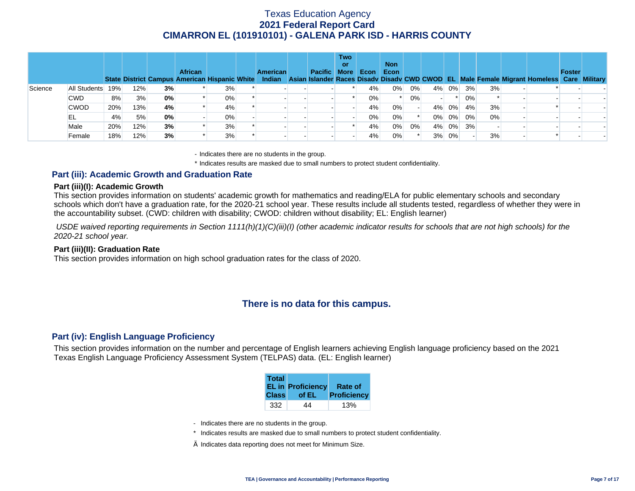|         |              |     |     |    | <b>African</b><br>State District Campus American Hispanic White |    | <b>American</b> | Pacific More | <b>Two</b><br>or | Econ  | <b>Non</b><br>Econ |    |       |       |    |    | Indian Asian Islander Races Disady Disady CWD CWOD EL Male Female Migrant Homeless Care Military | Foster |  |
|---------|--------------|-----|-----|----|-----------------------------------------------------------------|----|-----------------|--------------|------------------|-------|--------------------|----|-------|-------|----|----|--------------------------------------------------------------------------------------------------|--------|--|
| Science | All Students | 19% | 12% | 3% |                                                                 | 3% |                 |              |                  | 4%    | 0%                 | 0% | 4%    | 0%    | 3% | 3% |                                                                                                  |        |  |
|         | <b>CWD</b>   | 8%  | 3%  | 0% |                                                                 | 0% |                 |              |                  | $0\%$ |                    | 0% |       |       | 0% |    |                                                                                                  |        |  |
|         | <b>CWOD</b>  | 20% | 13% | 4% |                                                                 | 4% |                 |              |                  | 4%    | 0%                 |    | $4\%$ | 0%    | 4% | 3% |                                                                                                  |        |  |
|         | EL           | 4%  | 5%  | 0% |                                                                 | 0% |                 |              |                  | $0\%$ | 0%                 |    | $0\%$ | 0%    | 0% | 0% |                                                                                                  |        |  |
|         | Male         | 20% | 12% | 3% |                                                                 | 3% |                 |              |                  | 4%    | 0%                 | 0% |       | 4% 0% | 3% |    |                                                                                                  |        |  |
|         | Female       | 18% | 12% | 3% |                                                                 | 3% |                 |              |                  | 4%    | 0%                 |    | 3%    | 0%    |    | 3% |                                                                                                  |        |  |

- Indicates there are no students in the group.

\* Indicates results are masked due to small numbers to protect student confidentiality.

### **Part (iii): Academic Growth and Graduation Rate**

#### **Part (iii)(I): Academic Growth**

This section provides information on students' academic growth for mathematics and reading/ELA for public elementary schools and secondary schools which don't have a graduation rate, for the 2020-21 school year. These results include all students tested, regardless of whether they were in the accountability subset. (CWD: children with disability; CWOD: children without disability; EL: English learner)

 *USDE waived reporting requirements in Section 1111(h)(1)(C)(iii)(I) (other academic indicator results for schools that are not high schools) for the 2020-21 school year.* 

#### **Part (iii)(II): Graduation Rate**

This section provides information on high school graduation rates for the class of 2020.

### **There is no data for this campus.**

### **Part (iv): English Language Proficiency**

This section provides information on the number and percentage of English learners achieving English language proficiency based on the 2021 Texas English Language Proficiency Assessment System (TELPAS) data. (EL: English learner)

| <b>Total</b> | <b>EL in Proficiency</b> | <b>Rate of</b> |
|--------------|--------------------------|----------------|
| <b>Class</b> | of EL                    | Proficiency    |
| 332          | 44                       |                |

- Indicates there are no students in the group.
- \* Indicates results are masked due to small numbers to protect student confidentiality.
- $\diamond$  Indicates data reporting does not meet for Minimum Size.